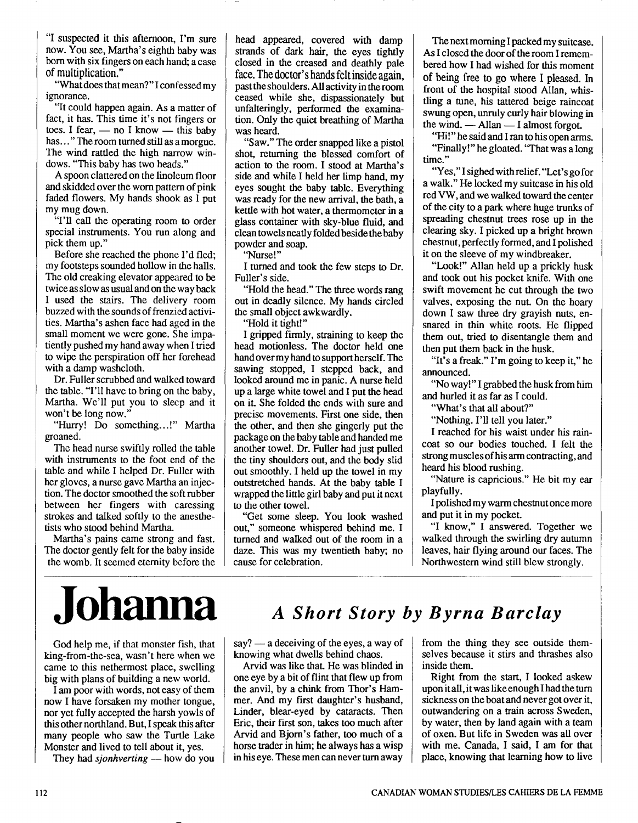"I suspected it this afternoon, I'm sure now. You see, Martha's eighth baby was born with six fingers on each hand; a case of multiplication."

"What does that mean?" I confessed my ignorance.

"It could happen again. As a matter of fact, it has. This time it's not fingers or "It could happen again. As a matter of fact, it has. This time it's not fingers or toes. I fear,  $-$  no I know  $-$  this baby has. "The room turned still as a moral toes. I fear,  $\rightharpoonup$  no I know  $\rightharpoonup$  this baby has..." The room turned still as a morgue. The wind rattled the high narrow windows. "This baby has two heads."

A spoon clattered on the linoleum floor and skidded over the worn pattern of pink faded flowers. My hands shook as  $\overline{I}$  put my mug down.

"I'll call the operating room to order special instruments. You run along and pick them up."

Before she reached the phone I'd fled; my footsteps sounded hollow in the halls. The old creaking elevator appeared to be twice as slow as usual and on the way back I used the stairs. The delivery room buzzed with the sounds of frenzied activities. Martha's ashen face had aged in the small moment we were gone. She impatiently pushed my hand away when I tried to wipe the perspiration off her forehead with a damp washcloth.

Dr. Fuller scrubbed and walked toward the table. "I'll have to bring on the baby, Martha. We'll put you to sleep and it won't be long now."

"Hurry! Do something.. .!" Martha groaned.

The head nurse swiftly rolled the table with instruments to the foot end of the table and while I helped Dr. Fuller with her gloves, a nurse gave Martha an injection. The doctor smoothed the soft rubber between her fingers with caressing strokes and talked softly to the anesthetists who stood behind Martha.

Martha's pains came strong and fast. The doctor gently felt for the baby inside the womb. It seemed eternity before the head appeared, covered with damp strands of dark hair, the eyes tightly closed in the creased and deathly pale face. The doctor's hands felt inside again, past the shoulders. *All* activity in the room ceased while she, dispassionately but unfalteringly, performed the examination. Only the quiet breathing of Martha was heard.

"Saw." The order snapped like a pistol shot, returning the blessed comfort of action to the room. I stood at Martha's side and while I held her limp hand, my eyes sought the baby table. Everything was ready for the new arrival, the bath, a kettle with hot water, a thermometer in a glass container with sky-blue fluid, and clean towels neatly folded beside the baby powder and soap.

"Nurse!"

I turned and took the few steps to Dr. Fuller's side.

"Hold the head." The three words rang out in deadly silence. My hands circled the small object awkwardly.

"Hold it tight!"

I gripped firmly, straining to keep the head motionless. The doctor held one hand over my hand to support herself. The sawing stopped, I stepped back, and looked around me in panic. A nurse held up a large white towel and I put the head on it. She folded the ends with sure and precise movements. First one side, then the other, and then she gingerly put the package on the baby table and handed me another towel. Dr. Fuller had just pulled the tiny shoulders out, and the body slid out smoothly. I held up the towel in my outstretched hands. At the baby table I wrapped the little girl baby and put it next to the other towel.

"Get some sleep. You look washed out," someone whispered behind me. I turned and walked out of the room in a daze. This was my twentieth baby; no cause for celebration.

The next morning I packed my suitcase. As I closed the door of the room I remembered how I had wished for this moment of being free to go where I pleased. In front of the hospital stood Allan, whistling a tune, his tattered beige raincoat swung open, unruly curly hair blowing in the wind.  $\longrightarrow$  Allan  $\longrightarrow$  I almost forgot.

"Hi!" he said and I ran to his open arms. "Finally!" he gloated. "That was a long time."

"Yes,"I sighed withrelief. "Let's go for a walk." He locked my suitcase in his old red VW, and we walked toward the center of the city to a park where huge trunks of spreading chestnut trees rose up in the clearing sky. I picked up a bright brown chestnut, perfectly formed, and I polished it on the sleeve of my windbreaker.

"Look!" Allan held up a prickly husk and took out his pocket knife. With one swift movement he cut through the two valves, exposing the nut. On the hoary down I saw three dry grayish nuts, ensnared in thin white roots. He flipped them out, tried to disentangle them and then put them back in the husk.

"It's a freak." I'm going to keep it," he announced.

"No way!" I grabbed the husk from him and hurled it as far as I could.

"What's that all about?"

"Nothing. I'll tell you later."

I reached for his waist under his raincoat so our bodies touched. I felt the strong muscles of his arm contracting, and heard his blood rushing.

"Nature is capricious." He bit my ear playfully.

I polished my warm chestnut oncemore and put it in my pocket.

"I know," I answered. Together we walked through the swirling dry autumn leaves, hair flying around our faces. The Northwestern wind still blew strongly.

## **Johanna** *A Short story by Byrna Barclay*

God help me, if that monster fish, that king-from-the-sea, wasn't here when we came to this nethermost place, swelling big with plans of building a new world.

I **am** poor with words, not easy of them now I have forsaken my mother tongue, nor yet fully accepted the harsh yowls of this other northland. But, I speak this after many people who saw the Turtle Lake Monster and lived to tell about it, yes.

They had *sjonhverting* - how do you

say?  $-$  a deceiving of the eyes, a way of knowing what dwells behind chaos.

Arvid was like that. He was blinded in one eye by a bit of flint that flew up from the anvil, by a chink from Thor's Hammer. And my first daughter's husband, Linder, blear-eyed by cataracts. Then Eric, their first son, takes too much after Arvid and Bjorn's father, too much of a horse trader in him; he always has a wisp in his eye. These men can never turn away

from the thing they see outside themselves because it stirs and thrashes also inside them.

Right from the start, I looked askew upon it all, it was like enough I had the turn sickness on the boat and never got over it, outwandering on a train across Sweden, by water, then by land again with a team of oxen. But life in Sweden was all over with me. Canada, I said, I **am** for that place, knowing that learning how to live